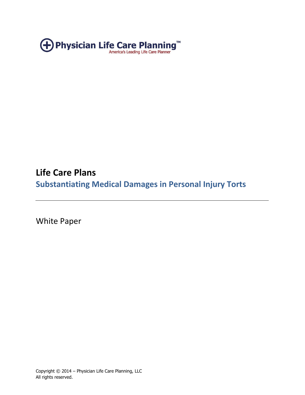

# **Life Care Plans Substantiating Medical Damages in Personal Injury Torts**

White Paper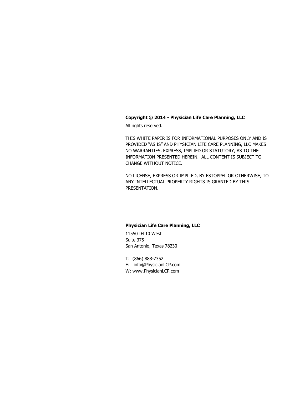#### **Copyright © 2014 - Physician Life Care Planning, LLC**

All rights reserved.

THIS WHITE PAPER IS FOR INFORMATIONAL PURPOSES ONLY AND IS PROVIDED "AS IS" AND PHYSICIAN LIFE CARE PLANNING, LLC MAKES NO WARRANTIES, EXPRESS, IMPLIED OR STATUTORY, AS TO THE INFORMATION PRESENTED HEREIN. ALL CONTENT IS SUBJECT TO CHANGE WITHOUT NOTICE.

NO LICENSE, EXPRESS OR IMPLIED, BY ESTOPPEL OR OTHERWISE, TO ANY INTELLECTUAL PROPERTY RIGHTS IS GRANTED BY THIS PRESENTATION.

#### **Physician Life Care Planning, LLC**

11550 IH 10 West Suite 375 San Antonio, Texas 78230

T: (866) 888-7352 E: info@PhysicianLCP.com

W: www.PhysicianLCP.com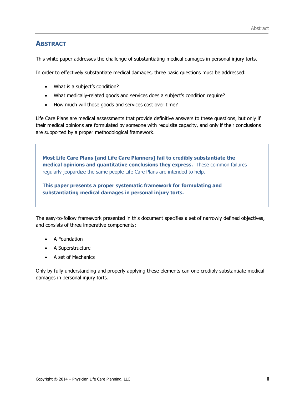## **ABSTRACT**

This white paper addresses the challenge of substantiating medical damages in personal injury torts.

In order to effectively substantiate medical damages, three basic questions must be addressed:

- What is a subject's condition?
- What medically-related goods and services does a subject's condition require?
- How much will those goods and services cost over time?

Life Care Plans are medical assessments that provide definitive answers to these questions, but only if their medical opinions are formulated by someone with requisite capacity, and only if their conclusions are supported by a proper methodological framework.

**Most Life Care Plans [and Life Care Planners] fail to credibly substantiate the medical opinions and quantitative conclusions they express.** These common failures regularly jeopardize the same people Life Care Plans are intended to help. v

**This paper presents a proper systematic framework for formulating and substantiating medical damages in personal injury torts.** 

The easy-to-follow framework presented in this document specifies a set of narrowly defined objectives, and consists of three imperative components:

- A Foundation
- A Superstructure
- A set of Mechanics

Only by fully understanding and properly applying these elements can one credibly substantiate medical damages in personal injury torts.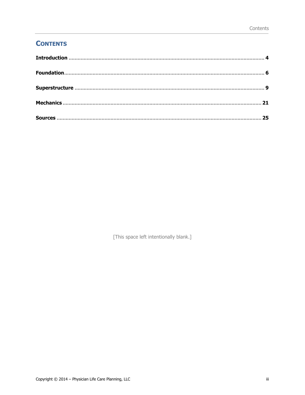## **CONTENTS**

[This space left intentionally blank.]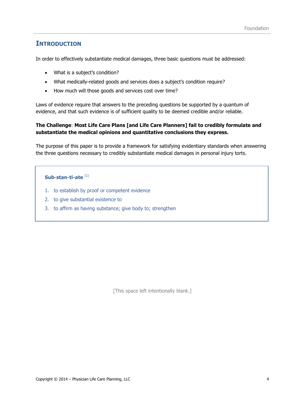## <span id="page-4-0"></span>**INTRODUCTION**

In order to effectively substantiate medical damages, three basic questions must be addressed:

- What is a subject's condition?
- What medically-related goods and services does a subject's condition require?
- How much will those goods and services cost over time?

Laws of evidence require that answers to the preceding questions be supported by a quantum of evidence, and that such evidence is of sufficient quality to be deemed credible and/or reliable.

#### **The Challenge**: **Most Life Care Plans [and Life Care Planners] fail to credibly formulate and substantiate the medical opinions and quantitative conclusions they express.**

The purpose of this paper is to provide a framework for satisfying evidentiary standards when answering the three questions necessary to credibly substantiate medical damages in personal injury torts.

#### **Sub-stan-ti-ate** [1]

- 1. to establish by proof or competent evidence
- 2. to give substantial existence to
- 3. to affirm as having substance; give body to; strengthen

[This space left intentionally blank.]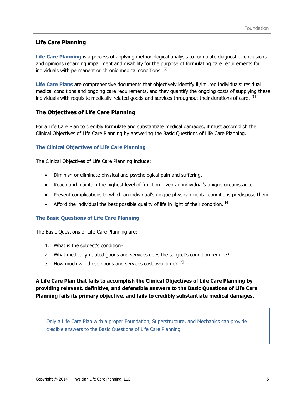### **Life Care Planning**

**Life Care Planning** is a process of applying methodological analysis to formulate diagnostic conclusions and opinions regarding impairment and disability for the purpose of formulating care requirements for individuals with permanent or chronic medical conditions. [2]

**Life Care Plans** are comprehensive documents that objectively identify ill/injured individuals' residual medical conditions and ongoing care requirements, and they quantify the ongoing costs of supplying these individuals with requisite medically-related goods and services throughout their durations of care. [3]

#### **The Objectives of Life Care Planning**

For a Life Care Plan to credibly formulate and substantiate medical damages, it must accomplish the Clinical Objectives of Life Care Planning by answering the Basic Questions of Life Care Planning.

#### **The Clinical Objectives of Life Care Planning**

The Clinical Objectives of Life Care Planning include:

- Diminish or eliminate physical and psychological pain and suffering.
- Reach and maintain the highest level of function given an individual's unique circumstance.
- Prevent complications to which an individual's unique physical/mental conditions predispose them.
- Afford the individual the best possible quality of life in light of their condition.  $^{[4]}$

#### **The Basic Questions of Life Care Planning**

The Basic Questions of Life Care Planning are:

- 1. What is the subject's condition?
- 2. What medically-related goods and services does the subject's condition require?
- 3. How much will those goods and services cost over time?  $[5]$

**A Life Care Plan that fails to accomplish the Clinical Objectives of Life Care Planning by providing relevant, definitive, and defensible answers to the Basic Questions of Life Care Planning fails its primary objective, and fails to credibly substantiate medical damages.**

Only a Life Care Plan with a proper Foundation, Superstructure, and Mechanics can provide credible answers to the Basic Questions of Life Care Planning.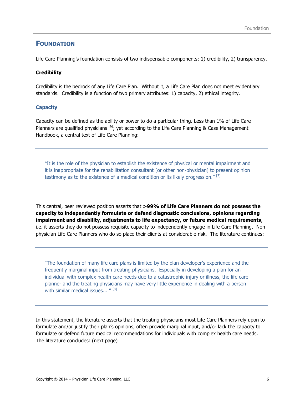## <span id="page-6-0"></span>**FOUNDATION**

Life Care Planning's foundation consists of two indispensable components: 1) credibility, 2) transparency.

#### **Credibility**

Credibility is the bedrock of any Life Care Plan. Without it, a Life Care Plan does not meet evidentiary standards. Credibility is a function of two primary attributes: 1) capacity, 2) ethical integrity.

#### **Capacity**

Capacity can be defined as the ability or power to do a particular thing. Less than 1% of Life Care Planners are qualified physicians <sup>[6]</sup>; yet according to the Life Care Planning & Case Management Handbook, a central text of Life Care Planning:

"It is the role of the physician to establish the existence of physical or mental impairment and it is inappropriate for the rehabilitation consultant [or other non-physician] to present opinion testimony as to the existence of a medical condition or its likely progression."<sup>[7]</sup>

This central, peer reviewed position asserts that **>99% of Life Care Planners do not possess the capacity to independently formulate or defend diagnostic conclusions, opinions regarding impairment and disability, adjustments to life expectancy, or future medical requirements**, i.e. it asserts they do not possess requisite capacity to independently engage in Life Care Planning. Nonphysician Life Care Planners who do so place their clients at considerable risk. The literature continues:

"The foundation of many life care plans is limited by the plan developer's experience and the frequently marginal input from treating physicians. Especially in developing a plan for an individual with complex health care needs due to a catastrophic injury or illness, the life care planner and the treating physicians may have very little experience in dealing with a person with similar medical issues...  $''$  [8]

In this statement, the literature asserts that the treating physicians most Life Care Planners rely upon to formulate and/or justify their plan's opinions, often provide marginal input, and/or lack the capacity to formulate or defend future medical recommendations for individuals with complex health care needs. The literature concludes: (next page)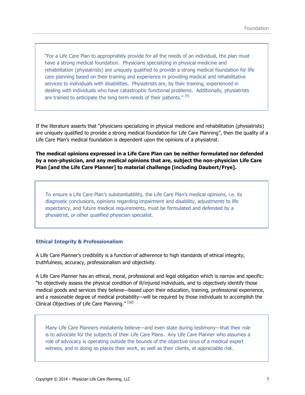"For a Life Care Plan to appropriately provide for all the needs of an individual, the plan must have a strong medical foundation. Physicians specializing in physical medicine and rehabilitation (physiatrists) are uniquely qualified to provide a strong medical foundation for life care planning based on their training and experience in providing medical and rehabilitative services to individuals with disabilities. Physiatrists are, by their training, experienced in dealing with individuals who have catastrophic functional problems. Additionally, physiatrists are trained to anticipate the long term needs of their patients."<sup>[9]</sup>

If the literature asserts that "physicians specializing in physical medicine and rehabilitation (physiatrists) are uniquely qualified to provide a strong medical foundation for Life Care Planning", then the quality of a Life Care Plan's medical foundation is dependent upon the opinions of a physiatrist.

**The medical opinions expressed in a Life Care Plan can be neither formulated nor defended by a non-physician, and any medical opinions that are, subject the non-physician Life Care Plan [and the Life Care Planner] to material challenge [including Daubert/Frye].** 

To ensure a Life Care Plan's substantiablility, the Life Care Plan's medical opinions, i.e. its diagnostic conclusions, opinions regarding impairment and disability, adjustments to life expectancy, and future medical requirements, must be formulated and defended by a physiatrist, or other qualified physician specialist.

#### **Ethical Integrity & Professionalism**

A Life Care Planner's credibility is a function of adherence to high standards of ethical integrity, truthfulness, accuracy, professionalism and objectivity.

A Life Care Planner has an ethical, moral, professional and legal obligation which is narrow and specific: "to objectively assess the physical condition of ill/injured individuals, and to objectively identify those medical goods and services they believe—based upon their education, training, professional experience, and a reasonable degree of medical probability—will be required by those individuals to accomplish the Clinical Objectives of Life Care Planning." [10]

Many Life Care Planners mistakenly believe—and even state during testimony—that their role is to advocate for the subjects of their Life Care Plans. Any Life Care Planner who assumes a role of advocacy is operating outside the bounds of the objective onus of a medical expert witness, and in doing so places their work, as well as their clients, at appreciable risk.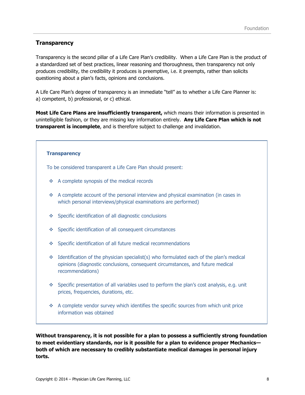### **Transparency**

Transparency is the second pillar of a Life Care Plan's credibility. When a Life Care Plan is the product of a standardized set of best practices, linear reasoning and thoroughness, then transparency not only produces credibility, the credibility it produces is preemptive, i.e. it preempts, rather than solicits questioning about a plan's facts, opinions and conclusions.

A Life Care Plan's degree of transparency is an immediate "tell" as to whether a Life Care Planner is: a) competent, b) professional, or c) ethical.

**Most Life Care Plans are insufficiently transparent,** which means their information is presented in unintelligible fashion, or they are missing key information entirely. **Any Life Care Plan which is not transparent is incomplete**, and is therefore subject to challenge and invalidation.

#### **Transparency**

To be considered transparent a Life Care Plan should present:

- ❖ A complete synopsis of the medical records
- $\bullet$  A complete account of the personal interview and physical examination (in cases in which personal interviews/physical examinations are performed)
- Specific identification of all diagnostic conclusions
- ◆ Specific identification of all consequent circumstances
- Specific identification of all future medical recommendations
- $\div$  Identification of the physician specialist(s) who formulated each of the plan's medical opinions (diagnostic conclusions, consequent circumstances, and future medical recommendations)
- Specific presentation of all variables used to perform the plan's cost analysis, e.g. unit prices, frequencies, durations, etc.
- A complete vendor survey which identifies the specific sources from which unit price information was obtained

**Without transparency, it is not possible for a plan to possess a sufficiently strong foundation to meet evidentiary standards, nor is it possible for a plan to evidence proper Mechanics both of which are necessary to credibly substantiate medical damages in personal injury torts.**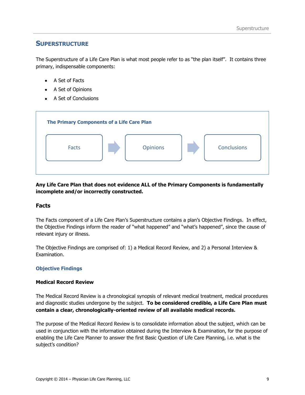## <span id="page-9-0"></span>**SUPERSTRUCTURE**

The Superstructure of a Life Care Plan is what most people refer to as "the plan itself". It contains three primary, indispensable components:

- A Set of Facts
- A Set of Opinions
- A Set of Conclusions



**Any Life Care Plan that does not evidence ALL of the Primary Components is fundamentally incomplete and/or incorrectly constructed.** 

#### **Facts**

The Facts component of a Life Care Plan's Superstructure contains a plan's Objective Findings. In effect, the Objective Findings inform the reader of "what happened" and "what's happened", since the cause of relevant injury or illness.

The Objective Findings are comprised of: 1) a Medical Record Review, and 2) a Personal Interview & Examination.

#### **Objective Findings**

#### **Medical Record Review**

The Medical Record Review is a chronological synopsis of relevant medical treatment, medical procedures and diagnostic studies undergone by the subject. **To be considered credible, a Life Care Plan must contain a clear, chronologically-oriented review of all available medical records.**

The purpose of the Medical Record Review is to consolidate information about the subject, which can be used in conjunction with the information obtained during the Interview & Examination, for the purpose of enabling the Life Care Planner to answer the first Basic Question of Life Care Planning, i.e. what is the subject's condition?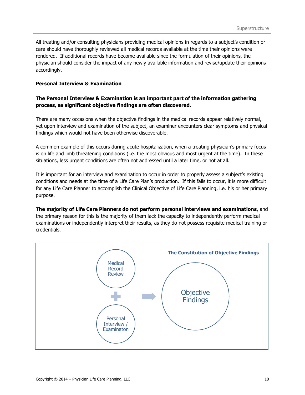All treating and/or consulting physicians providing medical opinions in regards to a subject's condition or care should have thoroughly reviewed all medical records available at the time their opinions were rendered. If additional records have become available since the formulation of their opinions, the physician should consider the impact of any newly available information and revise/update their opinions accordingly.

#### **Personal Interview & Examination**

#### **The Personal Interview & Examination is an important part of the information gathering process, as significant objective findings are often discovered.**

There are many occasions when the objective findings in the medical records appear relatively normal, yet upon interview and examination of the subject, an examiner encounters clear symptoms and physical findings which would not have been otherwise discoverable.

A common example of this occurs during acute hospitalization, when a treating physician's primary focus is on life and limb threatening conditions (i.e. the most obvious and most urgent at the time). In these situations, less urgent conditions are often not addressed until a later time, or not at all.

It is important for an interview and examination to occur in order to properly assess a subject's existing conditions and needs at the time of a Life Care Plan's production. If this fails to occur, it is more difficult for any Life Care Planner to accomplish the Clinical Objective of Life Care Planning, i.e. his or her primary purpose.

**The majority of Life Care Planners do not perform personal interviews and examinations**, and the primary reason for this is the majority of them lack the capacity to independently perform medical examinations or independently interpret their results, as they do not possess requisite medical training or credentials.

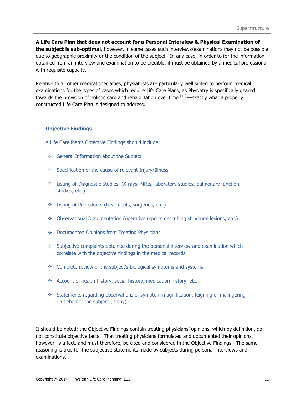**A Life Care Plan that does not account for a Personal Interview & Physical Examination of the subject is sub-optimal,** however, in some cases such interviews/examinations may not be possible due to geographic proximity or the condition of the subject. In any case, in order to for the information obtained from an interview and examination to be credible, it must be obtained by a medical professional with requisite capacity.

Relative to all other medical specialties, physiatrists are particularly well suited to perform medical examinations for the types of cases which require Life Care Plans, as Physiatry is specifically geared towards the provision of holistic care and rehabilitation over time [11] —exactly what a properly constructed Life Care Plan is designed to address.

#### **Objective Findings**

A Life Care Plan's Objective Findings should include:

- General Information about the Subject
- Specification of the cause of relevant Injury/Illness
- Listing of Diagnostic Studies, (X-rays, MRIs, laboratory studies, pulmonary function studies, etc.)
- **Example 1** Listing of Procedures (treatments, surgeries, etc.)
- Observational Documentation (operative reports describing structural lesions, etc.)
- Documented Opinions from Treating Physicians
- $\bullet$  Subjective complaints obtained during the personal interview and examination which correlate with the objective findings in the medical records
- \* Complete review of the subject's biological symptoms and systems
- \* Account of health history, social history, medication history, etc.
- Statements regarding observations of symptom magnification, feigning or malingering on behalf of the subject (if any)

It should be noted: the Objective Findings contain treating physicians' opinions, which by definition, do not constitute objective facts. That treating physicians formulated and documented their opinions, however, is a fact, and must therefore, be cited and considered in the Objective Findings. The same reasoning is true for the subjective statements made by subjects during personal interviews and examinations.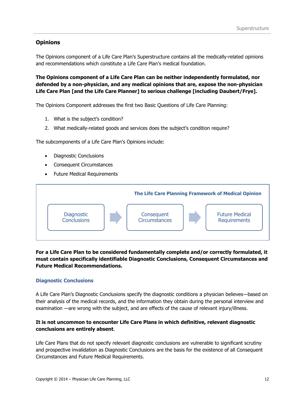#### **Opinions**

The Opinions component of a Life Care Plan's Superstructure contains all the medically-related opinions and recommendations which constitute a Life Care Plan's medical foundation.

**The Opinions component of a Life Care Plan can be neither independently formulated, nor defended by a non-physician, and any medical opinions that are, expose the non-physician Life Care Plan [and the Life Care Planner] to serious challenge [including Daubert/Frye].** 

The Opinions Component addresses the first two Basic Questions of Life Care Planning:

- 1. What is the subject's condition?
- 2. What medically-related goods and services does the subject's condition require?

The subcomponents of a Life Care Plan's Opinions include:

- Diagnostic Conclusions
- Consequent Circumstances
- Future Medical Requirements



#### **For a Life Care Plan to be considered fundamentally complete and/or correctly formulated, it must contain specifically identifiable Diagnostic Conclusions, Consequent Circumstances and Future Medical Recommendations.**

#### **Diagnostic Conclusions**

A Life Care Plan's Diagnostic Conclusions specify the diagnostic conditions a physician believes—based on their analysis of the medical records, and the information they obtain during the personal interview and examination —are wrong with the subject, and are effects of the cause of relevant injury/illness.

#### **It is not uncommon to encounter Life Care Plans in which definitive, relevant diagnostic conclusions are entirely absent**.

Life Care Plans that do not specify relevant diagnostic conclusions are vulnerable to significant scrutiny and prospective invalidation as Diagnostic Conclusions are the basis for the existence of all Consequent Circumstances and Future Medical Requirements.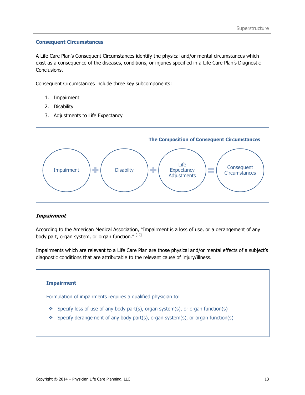#### **Consequent Circumstances**

A Life Care Plan's Consequent Circumstances identify the physical and/or mental circumstances which exist as a consequence of the diseases, conditions, or injuries specified in a Life Care Plan's Diagnostic Conclusions.

Consequent Circumstances include three key subcomponents:

- 1. Impairment
- 2. Disability
- 3. Adjustments to Life Expectancy



#### **Impairment**

According to the American Medical Association, "Impairment is a loss of use, or a derangement of any body part, organ system, or organ function." [12]

Impairments which are relevant to a Life Care Plan are those physical and/or mental effects of a subject's diagnostic conditions that are attributable to the relevant cause of injury/illness.

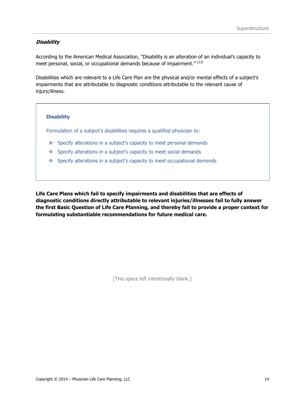#### **Disability**

According to the American Medical Association, "Disability is an alteration of an individual's capacity to meet personal, social, or occupational demands because of impairment."<sup>[13]</sup>

Disabilities which are relevant to a Life Care Plan are the physical and/or mental effects of a subject's impairments that are attributable to diagnostic conditions attributable to the relevant cause of injury/illness.

#### **Disability**

Formulation of a subject's disabilities requires a qualified physician to:

- Specify alterations in a subject's capacity to meet personal demands
- Specify alterations in a subject's capacity to meet social demands
- Specify alterations in a subject's capacity to meet occupational demands

**Life Care Plans which fail to specify impairments and disabilities that are effects of diagnostic conditions directly attributable to relevant injuries/illnesses fail to fully answer the first Basic Question of Life Care Planning, and thereby fail to provide a proper context for formulating substantiable recommendations for future medical care.** 

[This space left intentionally blank.]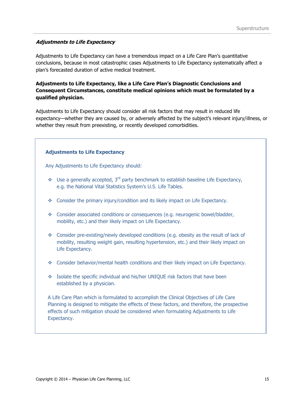#### **Adjustments to Life Expectancy**

Adjustments to Life Expectancy can have a tremendous impact on a Life Care Plan's quantitative conclusions, because in most catastrophic cases Adjustments to Life Expectancy systematically affect a plan's forecasted duration of active medical treatment.

#### **Adjustments to Life Expectancy, like a Life Care Plan's Diagnostic Conclusions and Consequent Circumstances, constitute medical opinions which must be formulated by a qualified physician.**

Adjustments to Life Expectancy should consider all risk factors that may result in reduced life expectancy—whether they are caused by, or adversely affected by the subject's relevant injury/illness, or whether they result from preexisting, or recently developed comorbidities.

#### **Adjustments to Life Expectancy**

Any Adjustments to Life Expectancy should:

- $\bullet\bullet\quad$  Use a generally accepted, 3<sup>rd</sup> party benchmark to establish baseline Life Expectancy, e.g. the National Vital Statistics System's U.S. Life Tables.
- Consider the primary injury/condition and its likely impact on Life Expectancy.
- Consider associated conditions or consequences (e.g. neurogenic bowel/bladder, mobility, etc.) and their likely impact on Life Expectancy.
- $\bullet$  Consider pre-existing/newly developed conditions (e.g. obesity as the result of lack of mobility, resulting weight gain, resulting hypertension, etc.) and their likely impact on Life Expectancy.
- Consider behavior/mental health conditions and their likely impact on Life Expectancy.
- Isolate the specific individual and his/her UNIQUE risk factors that have been established by a physician.

A Life Care Plan which is formulated to accomplish the Clinical Objectives of Life Care Planning is designed to mitigate the effects of these factors, and therefore, the prospective effects of such mitigation should be considered when formulating Adjustments to Life Expectancy.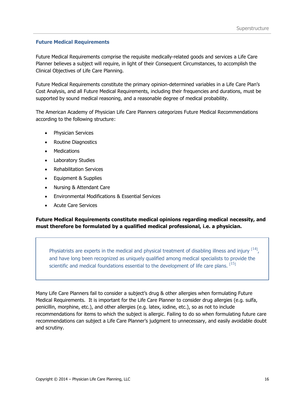#### **Future Medical Requirements**

Future Medical Requirements comprise the requisite medically-related goods and services a Life Care Planner believes a subject will require, in light of their Consequent Circumstances, to accomplish the Clinical Objectives of Life Care Planning.

Future Medical Requirements constitute the primary opinion-determined variables in a Life Care Plan's Cost Analysis, and all Future Medical Requirements, including their frequencies and durations, must be supported by sound medical reasoning, and a reasonable degree of medical probability.

The American Academy of Physician Life Care Planners categorizes Future Medical Recommendations according to the following structure:

- Physician Services
- Routine Diagnostics
- Medications
- Laboratory Studies
- Rehabilitation Services
- Equipment & Supplies
- Nursing & Attendant Care
- Environmental Modifications & Essential Services
- Acute Care Services

#### **Future Medical Requirements constitute medical opinions regarding medical necessity, and must therefore be formulated by a qualified medical professional, i.e. a physician.**

Physiatrists are experts in the medical and physical treatment of disabling illness and injury  $[14]$ , and have long been recognized as uniquely qualified among medical specialists to provide the scientific and medical foundations essential to the development of life care plans.  $[15]$ 

Many Life Care Planners fail to consider a subject's drug & other allergies when formulating Future Medical Requirements. It is important for the Life Care Planner to consider drug allergies (e.g. sulfa, penicillin, morphine, etc.), and other allergies (e.g. latex, iodine, etc.), so as not to include recommendations for items to which the subject is allergic. Failing to do so when formulating future care recommendations can subject a Life Care Planner's judgment to unnecessary, and easily avoidable doubt and scrutiny.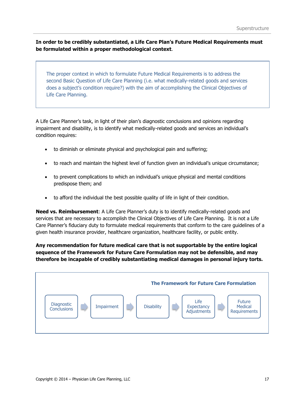**In order to be credibly substantiated, a Life Care Plan's Future Medical Requirements must be formulated within a proper methodological context**.

The proper context in which to formulate Future Medical Requirements is to address the second Basic Question of Life Care Planning (i.e. what medically-related goods and services does a subject's condition require?) with the aim of accomplishing the Clinical Objectives of Life Care Planning.

A Life Care Planner's task, in light of their plan's diagnostic conclusions and opinions regarding impairment and disability, is to identify what medically-related goods and services an individual's condition requires:

- to diminish or eliminate physical and psychological pain and suffering;
- to reach and maintain the highest level of function given an individual's unique circumstance;
- to prevent complications to which an individual's unique physical and mental conditions predispose them; and
- to afford the individual the best possible quality of life in light of their condition.

**Need vs. Reimbursement**: A Life Care Planner's duty is to identify medically-related goods and services that are necessary to accomplish the Clinical Objectives of Life Care Planning. It is not a Life Care Planner's fiduciary duty to formulate medical requirements that conform to the care guidelines of a given health insurance provider, healthcare organization, healthcare facility, or public entity.

**Any recommendation for future medical care that is not supportable by the entire logical sequence of the Framework for Future Care Formulation may not be defensible, and may therefore be incapable of credibly substantiating medical damages in personal injury torts.** 

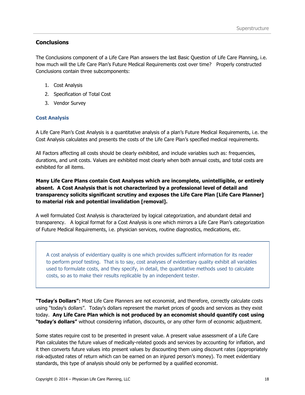#### **Conclusions**

The Conclusions component of a Life Care Plan answers the last Basic Question of Life Care Planning, i.e. how much will the Life Care Plan's Future Medical Requirements cost over time? Properly constructed Conclusions contain three subcomponents:

- 1. Cost Analysis
- 2. Specification of Total Cost
- 3. Vendor Survey

#### **Cost Analysis**

A Life Care Plan's Cost Analysis is a quantitative analysis of a plan's Future Medical Requirements, i.e. the Cost Analysis calculates and presents the costs of the Life Care Plan's specified medical requirements.

All Factors affecting all costs should be clearly exhibited, and include variables such as: frequencies, durations, and unit costs. Values are exhibited most clearly when both annual costs, and total costs are exhibited for all items.

**Many Life Care Plans contain Cost Analyses which are incomplete, unintelligible, or entirely absent. A Cost Analysis that is not characterized by a professional level of detail and transparency solicits significant scrutiny and exposes the Life Care Plan [Life Care Planner] to material risk and potential invalidation [removal].**

A well formulated Cost Analysis is characterized by logical categorization, and abundant detail and transparency. A logical format for a Cost Analysis is one which mirrors a Life Care Plan's categorization of Future Medical Requirements, i.e. physician services, routine diagnostics, medications, etc.

A cost analysis of evidentiary quality is one which provides sufficient information for its reader to perform proof testing. That is to say, cost analyses of evidentiary quality exhibit all variables used to formulate costs, and they specify, in detail, the quantitative methods used to calculate costs, so as to make their results replicable by an independent tester.

**"Today's Dollars":** Most Life Care Planners are not economist, and therefore, correctly calculate costs using "today's dollars". Today's dollars represent the market prices of goods and services as they exist today. **Any Life Care Plan which is not produced by an economist should quantify cost using "today's dollars"** without considering inflation, discounts, or any other form of economic adjustment.

Some states require cost to be presented in present value. A present value assessment of a Life Care Plan calculates the future values of medically-related goods and services by accounting for inflation, and it then converts future values into present values by discounting them using discount rates (appropriately risk-adjusted rates of return which can be earned on an injured person's money). To meet evidentiary standards, this type of analysis should only be performed by a qualified economist.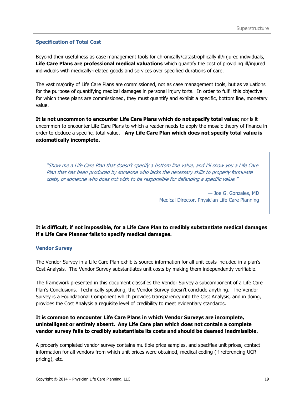#### **Specification of Total Cost**

Beyond their usefulness as case management tools for chronically/catastrophically ill/injured individuals, **Life Care Plans are professional medical valuations** which quantify the cost of providing ill/injured individuals with medically-related goods and services over specified durations of care.

The vast majority of Life Care Plans are commissioned, not as case management tools, but as valuations for the purpose of quantifying medical damages in personal injury torts. In order to fulfil this objective for which these plans are commissioned, they must quantify and exhibit a specific, bottom line, monetary value.

**It is not uncommon to encounter Life Care Plans which do not specify total value;** nor is it uncommon to encounter Life Care Plans to which a reader needs to apply the mosaic theory of finance in order to deduce a specific, total value. **Any Life Care Plan which does not specify total value is axiomatically incomplete.** 

"Show me a Life Care Plan that doesn't specify a bottom line value, and I'll show you a Life Care Plan that has been produced by someone who lacks the necessary skills to properly formulate costs, or someone who does not wish to be responsible for defending a specific value."

> — Joe G. Gonzales, MD Medical Director, Physician Life Care Planning

**It is difficult, if not impossible, for a Life Care Plan to credibly substantiate medical damages if a Life Care Planner fails to specify medical damages.**

#### **Vendor Survey**

The Vendor Survey in a Life Care Plan exhibits source information for all unit costs included in a plan's Cost Analysis. The Vendor Survey substantiates unit costs by making them independently verifiable.

The framework presented in this document classifies the Vendor Survey a subcomponent of a Life Care Plan's Conclusions. Technically speaking, the Vendor Survey doesn't conclude anything. The Vendor Survey is a Foundational Component which provides transparency into the Cost Analysis, and in doing, provides the Cost Analysis a requisite level of credibility to meet evidentiary standards.

#### **It is common to encounter Life Care Plans in which Vendor Surveys are incomplete, unintelligent or entirely absent. Any Life Care plan which does not contain a complete vendor survey fails to credibly substantiate its costs and should be deemed inadmissible.**

A properly completed vendor survey contains multiple price samples, and specifies unit prices, contact information for all vendors from which unit prices were obtained, medical coding (if referencing UCR pricing), etc.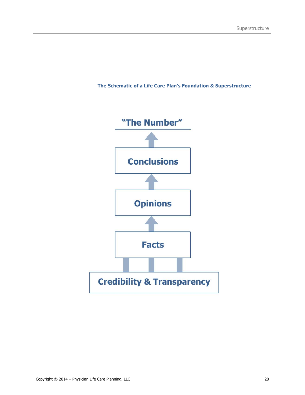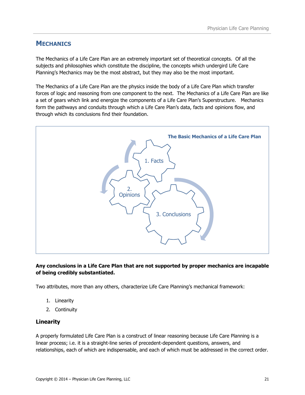## <span id="page-21-0"></span>**MECHANICS**

The Mechanics of a Life Care Plan are an extremely important set of theoretical concepts. Of all the subjects and philosophies which constitute the discipline, the concepts which undergird Life Care Planning's Mechanics may be the most abstract, but they may also be the most important.

The Mechanics of a Life Care Plan are the physics inside the body of a Life Care Plan which transfer forces of logic and reasoning from one component to the next. The Mechanics of a Life Care Plan are like a set of gears which link and energize the components of a Life Care Plan's Superstructure. Mechanics form the pathways and conduits through which a Life Care Plan's data, facts and opinions flow, and through which its conclusions find their foundation.



#### **Any conclusions in a Life Care Plan that are not supported by proper mechanics are incapable of being credibly substantiated.**

Two attributes, more than any others, characterize Life Care Planning's mechanical framework:

- 1. Linearity
- 2. Continuity

#### **Linearity**

A properly formulated Life Care Plan is a construct of linear reasoning because Life Care Planning is a linear process; i.e. it is a straight-line series of precedent-dependent questions, answers, and relationships, each of which are indispensable, and each of which must be addressed in the correct order.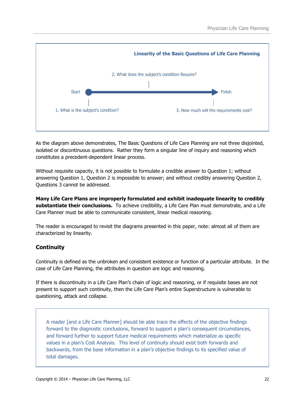

As the diagram above demonstrates, The Basic Questions of Life Care Planning are not three disjointed, isolated or discontinuous questions. Rather they form a singular line of inquiry and reasoning which constitutes a precedent-dependent linear process.

Without requisite capacity, it is not possible to formulate a credible answer to Question 1; without answering Question 1, Question 2 is impossible to answer; and without credibly answering Question 2, Questions 3 cannot be addressed.

**Many Life Care Plans are improperly formulated and exhibit inadequate linearity to credibly substantiate their conclusions.** To achieve credibility, a Life Care Plan must demonstrate, and a Life Care Planner must be able to communicate consistent, linear medical reasoning.

The reader is encouraged to revisit the diagrams presented in this paper, note: almost all of them are characterized by linearity.

## **Continuity**

Continuity is defined as the unbroken and consistent existence or function of a particular attribute. In the case of Life Care Planning, the attributes in question are logic and reasoning.

If there is discontinuity in a Life Care Plan's chain of logic and reasoning, or if requisite bases are not present to support such continuity, then the Life Care Plan's entire Superstructure is vulnerable to questioning, attack and collapse.

A reader [and a Life Care Planner] should be able trace the effects of the objective findings forward to the diagnostic conclusions, forward to support a plan's consequent circumstances, and forward further to support future medical requirements which materialize as specific values in a plan's Cost Analysis. This level of continuity should exist both forwards and backwards, from the base information in a plan's objective findings to its specified value of total damages.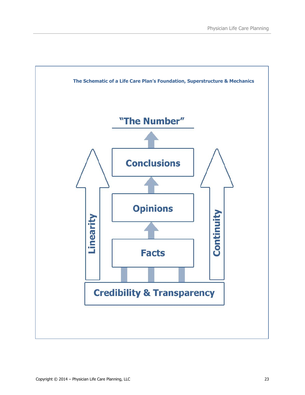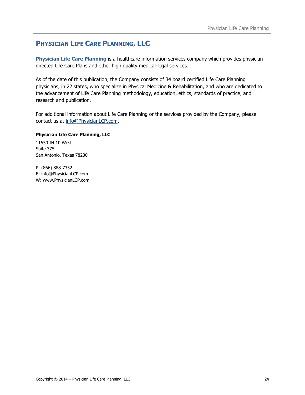## **PHYSICIAN LIFE CARE PLANNING, LLC**

**Physician Life Care Planning** is a healthcare information services company which provides physiciandirected Life Care Plans and other high quality medical-legal services.

As of the date of this publication, the Company consists of 34 board certified Life Care Planning physicians, in 22 states, who specialize in Physical Medicine & Rehabilitation, and who are dedicated to the advancement of Life Care Planning methodology, education, ethics, standards of practice, and research and publication.

For additional information about Life Care Planning or the services provided by the Company, please contact us at [info@PhysicianLCP.com.](mailto:info@PhysicianLCP.com)

#### **Physician Life Care Planning, LLC**

11550 IH 10 West Suite 375 San Antonio, Texas 78230

P: (866) 888-7352 E: info@PhysicianLCP.com W: www.PhysicianLCP.com